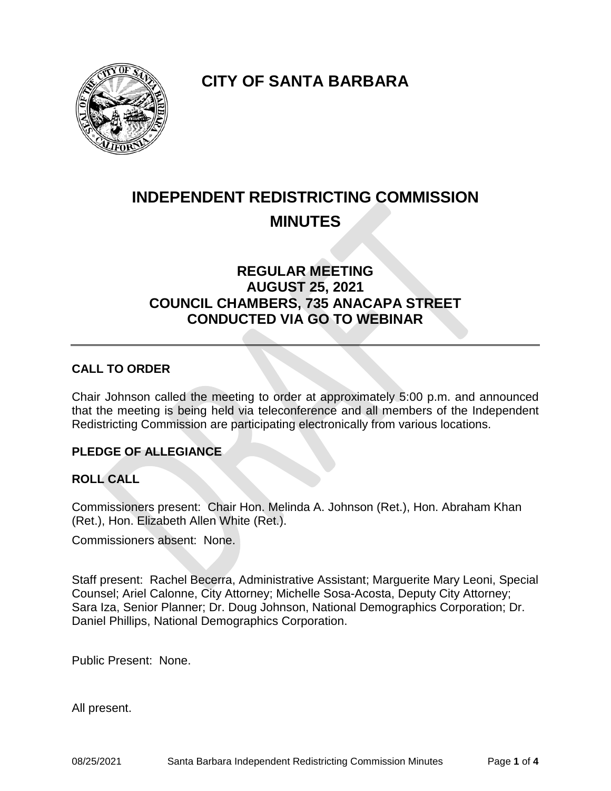

**CITY OF SANTA BARBARA**

# **INDEPENDENT REDISTRICTING COMMISSION MINUTES**

# **REGULAR MEETING AUGUST 25, 2021 COUNCIL CHAMBERS, 735 ANACAPA STREET CONDUCTED VIA GO TO WEBINAR**

## **CALL TO ORDER**

Chair Johnson called the meeting to order at approximately 5:00 p.m. and announced that the meeting is being held via teleconference and all members of the Independent Redistricting Commission are participating electronically from various locations.

#### **PLEDGE OF ALLEGIANCE**

#### **ROLL CALL**

Commissioners present: Chair Hon. Melinda A. Johnson (Ret.), Hon. Abraham Khan (Ret.), Hon. Elizabeth Allen White (Ret.).

Commissioners absent: None.

Staff present: Rachel Becerra, Administrative Assistant; Marguerite Mary Leoni, Special Counsel; Ariel Calonne, City Attorney; Michelle Sosa-Acosta, Deputy City Attorney; Sara Iza, Senior Planner; Dr. Doug Johnson, National Demographics Corporation; Dr. Daniel Phillips, National Demographics Corporation.

Public Present: None.

All present.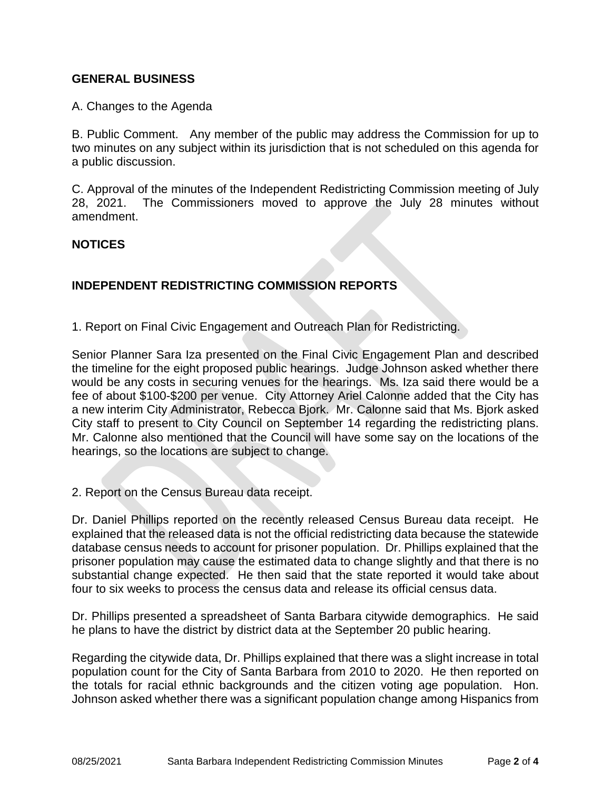#### **GENERAL BUSINESS**

A. Changes to the Agenda

B. Public Comment. Any member of the public may address the Commission for up to two minutes on any subject within its jurisdiction that is not scheduled on this agenda for a public discussion.

C. Approval of the minutes of the Independent Redistricting Commission meeting of July 28, 2021. The Commissioners moved to approve the July 28 minutes without amendment.

#### **NOTICES**

### **INDEPENDENT REDISTRICTING COMMISSION REPORTS**

1. Report on Final Civic Engagement and Outreach Plan for Redistricting.

Senior Planner Sara Iza presented on the Final Civic Engagement Plan and described the timeline for the eight proposed public hearings. Judge Johnson asked whether there would be any costs in securing venues for the hearings. Ms. Iza said there would be a fee of about \$100-\$200 per venue. City Attorney Ariel Calonne added that the City has a new interim City Administrator, Rebecca Bjork. Mr. Calonne said that Ms. Bjork asked City staff to present to City Council on September 14 regarding the redistricting plans. Mr. Calonne also mentioned that the Council will have some say on the locations of the hearings, so the locations are subject to change.

2. Report on the Census Bureau data receipt.

Dr. Daniel Phillips reported on the recently released Census Bureau data receipt. He explained that the released data is not the official redistricting data because the statewide database census needs to account for prisoner population. Dr. Phillips explained that the prisoner population may cause the estimated data to change slightly and that there is no substantial change expected. He then said that the state reported it would take about four to six weeks to process the census data and release its official census data.

Dr. Phillips presented a spreadsheet of Santa Barbara citywide demographics. He said he plans to have the district by district data at the September 20 public hearing.

Regarding the citywide data, Dr. Phillips explained that there was a slight increase in total population count for the City of Santa Barbara from 2010 to 2020. He then reported on the totals for racial ethnic backgrounds and the citizen voting age population. Hon. Johnson asked whether there was a significant population change among Hispanics from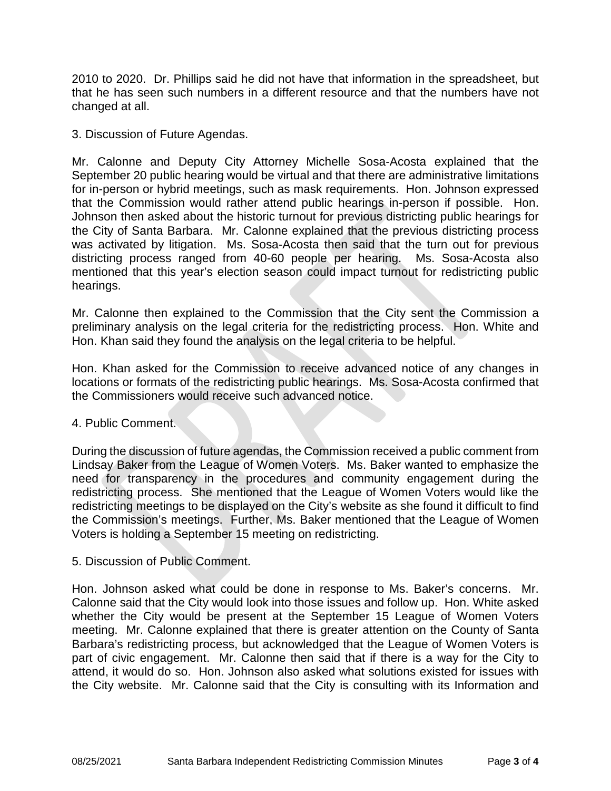2010 to 2020. Dr. Phillips said he did not have that information in the spreadsheet, but that he has seen such numbers in a different resource and that the numbers have not changed at all.

3. Discussion of Future Agendas.

Mr. Calonne and Deputy City Attorney Michelle Sosa-Acosta explained that the September 20 public hearing would be virtual and that there are administrative limitations for in-person or hybrid meetings, such as mask requirements. Hon. Johnson expressed that the Commission would rather attend public hearings in-person if possible. Hon. Johnson then asked about the historic turnout for previous districting public hearings for the City of Santa Barbara. Mr. Calonne explained that the previous districting process was activated by litigation. Ms. Sosa-Acosta then said that the turn out for previous districting process ranged from 40-60 people per hearing. Ms. Sosa-Acosta also mentioned that this year's election season could impact turnout for redistricting public hearings.

Mr. Calonne then explained to the Commission that the City sent the Commission a preliminary analysis on the legal criteria for the redistricting process. Hon. White and Hon. Khan said they found the analysis on the legal criteria to be helpful.

Hon. Khan asked for the Commission to receive advanced notice of any changes in locations or formats of the redistricting public hearings. Ms. Sosa-Acosta confirmed that the Commissioners would receive such advanced notice.

#### 4. Public Comment.

During the discussion of future agendas, the Commission received a public comment from Lindsay Baker from the League of Women Voters. Ms. Baker wanted to emphasize the need for transparency in the procedures and community engagement during the redistricting process. She mentioned that the League of Women Voters would like the redistricting meetings to be displayed on the City's website as she found it difficult to find the Commission's meetings. Further, Ms. Baker mentioned that the League of Women Voters is holding a September 15 meeting on redistricting.

5. Discussion of Public Comment.

Hon. Johnson asked what could be done in response to Ms. Baker's concerns. Mr. Calonne said that the City would look into those issues and follow up. Hon. White asked whether the City would be present at the September 15 League of Women Voters meeting. Mr. Calonne explained that there is greater attention on the County of Santa Barbara's redistricting process, but acknowledged that the League of Women Voters is part of civic engagement. Mr. Calonne then said that if there is a way for the City to attend, it would do so. Hon. Johnson also asked what solutions existed for issues with the City website. Mr. Calonne said that the City is consulting with its Information and